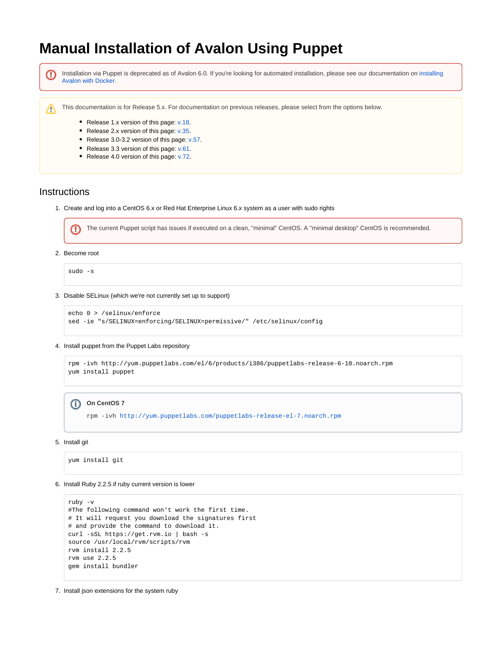# **Manual Installation of Avalon Using Puppet**

Installation via Puppet is deprecated as of Avalon 6.0. If you're looking for automated installation, please see our documentation on [installing](https://wiki.dlib.indiana.edu/display/VarVideo/Installing+Avalon+on+a+Server+Using+Docker)  [Avalon with Docker.](https://wiki.dlib.indiana.edu/display/VarVideo/Installing+Avalon+on+a+Server+Using+Docker)

This documentation is for Release 5.x. For documentation on previous releases, please select from the options below. Λ

- Release 1.x version of this page: [v.18.](https://wiki.dlib.indiana.edu/pages/viewpage.action?pageId=516164196)
- Release 2.x version of this page: [v.35.](https://wiki.dlib.indiana.edu/pages/viewpage.action?pageId=517669571)
- Release 3.0-3.2 version of this page: [v.57](https://wiki.dlib.indiana.edu/pages/viewpage.action?pageId=519112280).
- Release 3.3 version of this page: [v.61](https://wiki.dlib.indiana.edu/pages/viewpage.action?pageId=521179785).
- Release 4.0 version of this page: [v.72](https://wiki.dlib.indiana.edu/pages/viewpage.action?pageId=523241375).

## **Instructions**

O

1. Create and log into a CentOS 6.x or Red Hat Enterprise Linux 6.x system as a user with sudo rights

The current Puppet script has issues if executed on a clean, "minimal" CentOS. A "minimal desktop" CentOS is recommended. ⊕

2. Become root

sudo -s

3. Disable SELinux (which we're not currently set up to support)

```
echo 0 > /selinux/enforce 
sed -ie "s/SELINUX=enforcing/SELINUX=permissive/" /etc/selinux/config
```
#### 4. Install puppet from the Puppet Labs repository

```
rpm -ivh http://yum.puppetlabs.com/el/6/products/i386/puppetlabs-release-6-10.noarch.rpm
yum install puppet
```
#### ⋒ **On CentOS 7**

rpm -ivh<http://yum.puppetlabs.com/puppetlabs-release-el-7.noarch.rpm>

5. Install git

```
yum install git
```
#### 6. Install Ruby 2.2.5 if ruby current version is lower

```
ruby -v
#The following command won't work the first time. 
# It will request you download the signatures first 
# and provide the command to download it.
curl -sSL https://get.rvm.io | bash -s
source /usr/local/rvm/scripts/rvm
rvm install 2.2.5
rvm use 2.2.5
gem install bundler
```
7. Install json extensions for the system ruby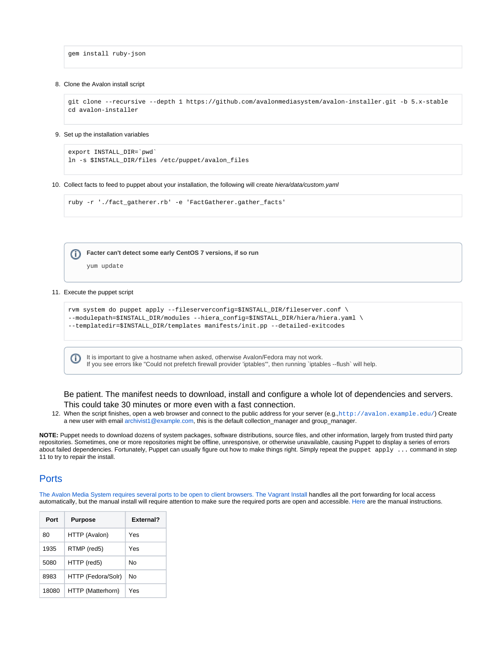gem install ruby-json

#### 8. Clone the Avalon install script

```
git clone --recursive --depth 1 https://github.com/avalonmediasystem/avalon-installer.git -b 5.x-stable
cd avalon-installer
```
#### 9. Set up the installation variables

```
export INSTALL DIR=`pwd`
ln -s $INSTALL_DIR/files /etc/puppet/avalon_files
```
10. Collect facts to feed to puppet about your installation, the following will create hiera/data/custom.yami

```
ruby -r './fact_gatherer.rb' -e 'FactGatherer.gather_facts'
```
#### **Facter can't detect some early CentOS 7 versions, if so run**

yum update

#### 11. Execute the puppet script

```
rvm system do puppet apply --fileserverconfig=$INSTALL_DIR/fileserver.conf \
--modulepath=$INSTALL_DIR/modules --hiera_config=$INSTALL_DIR/hiera/hiera.yaml \
--templatedir=$INSTALL_DIR/templates manifests/init.pp --detailed-exitcodes
```
It is important to give a hostname when asked, otherwise Avalon/Fedora may not work. G) If you see errors like "Could not prefetch firewall provider 'iptables'", then running `iptables --flush` will help.

### Be patient. The manifest needs to download, install and configure a whole lot of dependencies and servers. This could take 30 minutes or more even with a fast connection.

12. When the script finishes, open a web browser and connect to the public address for your server (e.g., <http://avalon.example.edu/>) Create a new user with email [archivist1@example.com](mailto:archivist1@example.com), this is the default collection\_manager and group\_manager.

**NOTE:** Puppet needs to download dozens of system packages, software distributions, source files, and other information, largely from trusted third party repositories. Sometimes, one or more repositories might be offline, unresponsive, or otherwise unavailable, causing Puppet to display a series of errors about failed dependencies. Fortunately, Puppet can usually figure out how to make things right. Simply repeat the puppet apply . . . command in step 11 to try to repair the install.

## **[Ports](https://github.com/avalonmediasystem/avalon-installer/tree/flat#ports)**

[The Avalon Media System requires several ports to be open to client browsers. The](https://github.com/avalonmediasystem/avalon-installer/tree/flat#ports) [Vagrant Install](https://wiki.dlib.indiana.edu/pages/viewpage.action?pageId=515278422) handles all the port forwarding for local access automatically, but the manual install will require attention to make sure the required ports are open and accessible. [Here](https://wiki.dlib.indiana.edu/display/VarVideo/Manual+Installation+Instructions#ManualInstallationInstructions-iptables) are the manual instructions.

| Port  | <b>Purpose</b>     | External? |
|-------|--------------------|-----------|
| 80    | HTTP (Avalon)      | Yes       |
| 1935  | RTMP (red5)        | Yes       |
| 5080  | HTTP (red5)        | N٥        |
| 8983  | HTTP (Fedora/Solr) | N٥        |
| 18080 | HTTP (Matterhorn)  | Yes       |